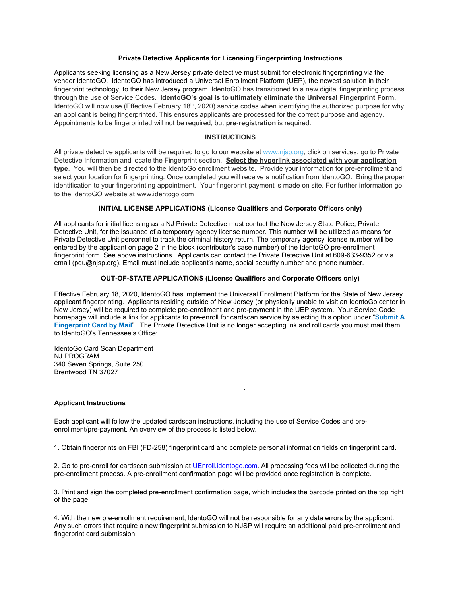### **Private Detective Applicants for Licensing Fingerprinting Instructions**

Applicants seeking licensing as a New Jersey private detective must submit for electronic fingerprinting via the vendor IdentoGO. IdentoGO has introduced a Universal Enrollment Platform (UEP), the newest solution in their fingerprint technology, to their New Jersey program. IdentoGO has transitioned to a new digital fingerprinting process through the use of Service Codes**. IdentoGO's goal is to ultimately eliminate the Universal Fingerprint Form.**  IdentoGO will now use (Effective February 18<sup>th</sup>, 2020) service codes when identifying the authorized purpose for why an applicant is being fingerprinted. This ensures applicants are processed for the correct purpose and agency. Appointments to be fingerprinted will not be required, but **pre**‐**registration** is required.

## **INSTRUCTIONS**

All private detective applicants will be required to go to our website at www.njsp.org, click on services, go to Private Detective Information and locate the Fingerprint section. **Select the hyperlink associated with your application type**. You will then be directed to the IdentoGo enrollment website. Provide your information for pre-enrollment and select your location for fingerprinting. Once completed you will receive a notification from IdentoGO. Bring the proper identification to your fingerprinting appointment. Your fingerprint payment is made on site. For further information go to the IdentoGO website at www.identogo.com

## **INITIAL LICENSE APPLICATIONS (License Qualifiers and Corporate Officers only)**

All applicants for initial licensing as a NJ Private Detective must contact the New Jersey State Police, Private Detective Unit, for the issuance of a temporary agency license number. This number will be utilized as means for Private Detective Unit personnel to track the criminal history return. The temporary agency license number will be entered by the applicant on page 2 in the block (contributor's case number) of the IdentoGO pre-enrollment fingerprint form. See above instructions. Applicants can contact the Private Detective Unit at 609-633-9352 or via email (pdu@njsp.org). Email must include applicant's name, social security number and phone number.

### **OUT-OF-STATE APPLICATIONS (License Qualifiers and Corporate Officers only)**

Effective February 18, 2020, IdentoGO has implement the Universal Enrollment Platform for the State of New Jersey applicant fingerprinting. Applicants residing outside of New Jersey (or physically unable to visit an IdentoGo center in New Jersey) will be required to complete pre-enrollment and pre-payment in the UEP system. Your Service Code homepage will include a link for applicants to pre-enroll for cardscan service by selecting this option under "**Submit A Fingerprint Card by Mail**". The Private Detective Unit is no longer accepting ink and roll cards you must mail them to IdentoGO's Tennessee's Office:.

.

IdentoGo Card Scan Department NJ PROGRAM 340 Seven Springs, Suite 250 Brentwood TN 37027

### **Applicant Instructions**

Each applicant will follow the updated cardscan instructions, including the use of Service Codes and preenrollment/pre-payment. An overview of the process is listed below.

1. Obtain fingerprints on FBI (FD-258) fingerprint card and complete personal information fields on fingerprint card.

2. Go to pre-enroll for cardscan submission at UEnroll.identogo.com. All processing fees will be collected during the pre-enrollment process. A pre-enrollment confirmation page will be provided once registration is complete.

 3. Print and sign the completed pre-enrollment confirmation page, which includes the barcode printed on the top right of the page.

 4. With the new pre-enrollment requirement, IdentoGO will not be responsible for any data errors by the applicant. Any such errors that require a new fingerprint submission to NJSP will require an additional paid pre-enrollment and fingerprint card submission.